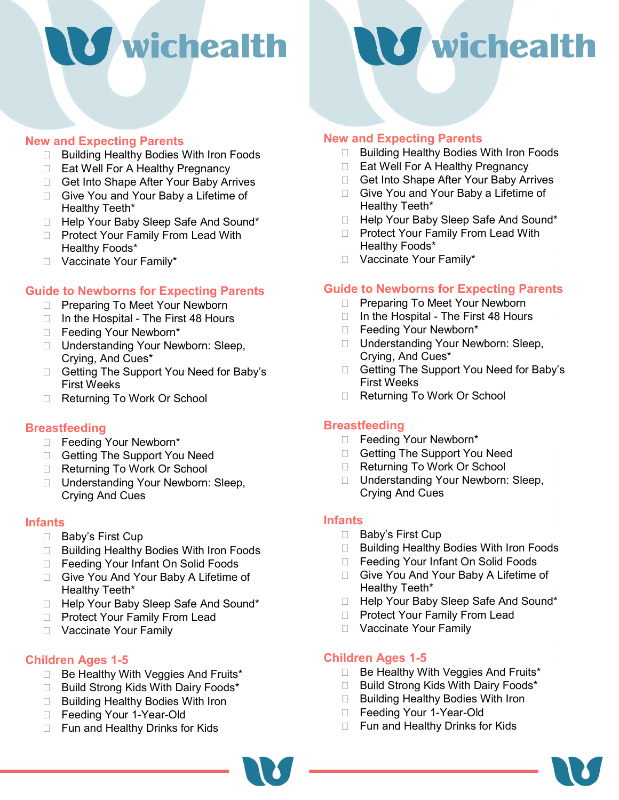# S wichealth



### New and Expecting Parents

- □ Building Healthy Bodies With Iron Foods
- □ Eat Well For A Healthy Pregnancy
- □ Get Into Shape After Your Baby Arrives
- □ Give You and Your Baby a Lifetime of Healthy Teeth\*
- □ Help Your Baby Sleep Safe And Sound\*
- □ Protect Your Family From Lead With Healthy Foods\*
- □ Vaccinate Your Family\*

### Guide to Newborns for Expecting Parents

- □ Preparing To Meet Your Newborn
- $\Box$  In the Hospital The First 48 Hours
- Feeding Your Newborn\*
- □ Understanding Your Newborn: Sleep, Crying, And Cues\*
- □ Getting The Support You Need for Baby's First Weeks
- □ Returning To Work Or School

### **Breastfeeding**

- Feeding Your Newborn\*
- Getting The Support You Need
- Returning To Work Or School
- □ Understanding Your Newborn: Sleep, Crying And Cues

### Infants

- □ Baby's First Cup
- □ Building Healthy Bodies With Iron Foods
- □ Feeding Your Infant On Solid Foods
- □ Give You And Your Baby A Lifetime of Healthy Teeth\*
- □ Help Your Baby Sleep Safe And Sound\*
- □ Protect Your Family From Lead
- □ Vaccinate Your Family

### Children Ages 1-5

- $\Box$  Be Healthy With Veggies And Fruits\*
- □ Build Strong Kids With Dairy Foods\*
- □ Building Healthy Bodies With Iron
- □ Feeding Your 1-Year-Old
- □ Fun and Healthy Drinks for Kids

### New and Expecting Parents

- □ Building Healthy Bodies With Iron Foods
- □ Eat Well For A Healthy Pregnancy
- □ Get Into Shape After Your Baby Arrives
- Give You and Your Baby a Lifetime of Healthy Teeth\*
- □ Help Your Baby Sleep Safe And Sound\*
- □ Protect Your Family From Lead With Healthy Foods\*
- □ Vaccinate Your Family\*

### Guide to Newborns for Expecting Parents

- □ Preparing To Meet Your Newborn
- $\Box$  In the Hospital The First 48 Hours
- Feeding Your Newborn\*
- □ Understanding Your Newborn: Sleep, Crying, And Cues\*
- □ Getting The Support You Need for Baby's First Weeks
- □ Returning To Work Or School

### **Breastfeeding**

- Feeding Your Newborn\*
- □ Getting The Support You Need
- □ Returning To Work Or School
- □ Understanding Your Newborn: Sleep, Crying And Cues

#### **Infants**

- □ Baby's First Cup
- □ Building Healthy Bodies With Iron Foods
- □ Feeding Your Infant On Solid Foods
- □ Give You And Your Baby A Lifetime of Healthy Teeth\*
- □ Help Your Baby Sleep Safe And Sound\*
- □ Protect Your Family From Lead
- □ Vaccinate Your Family

### Children Ages 1-5

- □ Be Healthy With Veggies And Fruits\*
- □ Build Strong Kids With Dairy Foods\*
- □ Building Healthy Bodies With Iron
- □ Feeding Your 1-Year-Old
- □ Fun and Healthy Drinks for Kids